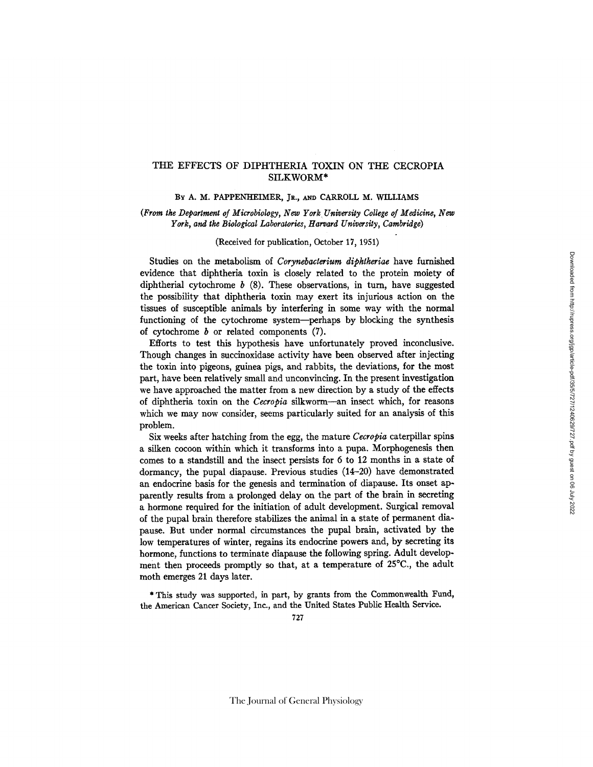# THE EFFECTS OF DIPHTHERIA TOXIN ON THE CECROPIA SILKWORM\*

## BY A. M. PAPPENHEIMER, JR., AND CARROLL M. WILLIAMS

*(From the Department of Microbiology, New York University College of Medicine, New York, and the Biological Laboratories, Harvard University, Cambridge)* 

#### (Received for publication, October 17, 1951)

Studies on the metabolism of *Corynebacterium diphtheriae* have furnished evidence that diphtheria toxin is closely related to the protein moiety of diphtherial cytochrome  $b$  (8). These observations, in turn, have suggested the possibility that diphtheria toxin may exert its injurious action on the tissues of susceptible animals by interfering in some way with the normal functioning of the cytochrome system--perhaps by blocking the synthesis of cytochrome  $b$  or related components  $(7)$ .

Efforts to test this hypothesis have unfortunately proved inconclusive. Though changes in succinoxidase activity have been observed after injecting the toxin into pigeons, guinea pigs, and rabbits, the deviations, for the most part, have been relatively small and unconvincing. In the present investigation we have approached the matter from a new direction by a study of the effects of diphtheria toxin on the *Cecropia* silkworm--an insect which, for reasons which we may now consider, seems particularly suited for an analysis of this problem.

Six weeks after hatching from the egg, the mature *Cecropia* caterpillar spins a silken cocoon within which it transforms into a pupa. Morphogenesis then comes to a standstill and the insect persists for 6 to 12 months in a state of dormancy, the pupal diapause. Previous studies  $(14-20)$  have demonstrated an endocrine basis for the genesis and termination of diapause. Its onset apparently results from a prolonged delay on the part of the brain in secreting a hormone required for the initiation of adult development. Surgical removal of the pupal brain therefore stabilizes the animal in a state of permanent diapause. But under normal circumstances the pupal brain, activated by the low temperatures of winter, regains its endocrine powers and, by secreting its hormone, functions to terminate diapause the following spring. Adult development then proceeds promptly so that, at a temperature of 25°C., the adult moth emerges 21 days later.

\* This study was supported, in part, by grants from the Commonwealth Fund, the American Cancer Society, Inc., and the United States Public Health Service.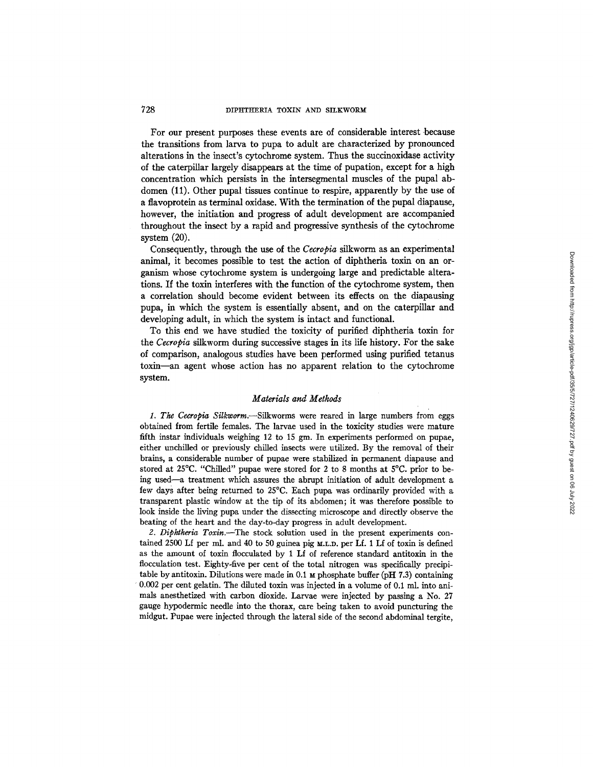For our present purposes these events are of considerable interest because the transitions from larva to pupa to adult are characterized by pronounced alterations in the insect's cytochrome system. Thus the succinoxidase activity of the caterpillar largely disappears at the time of pupation, except for a high concentration which persists in the intersegmental muscles of the pupal abdomen (11). Other pupal tissues continue to respire, apparently by the use of a flavoprotein as terminal oxidase. With the termination of the pupal diapause, however, the initiation and progress of adult development are accompanied throughout the insect by a rapid and progressive synthesis of the cytochrome system (20).

Consequently, through the use of the *Cecropia* silkworm as an experimental animal, it becomes possible to test the action of diphtheria toxin on an organism whose cytochrome system is undergoing large and predictable alterations. If the toxin interferes with the function of the cytochrome system, then a correlation should become evident between its effects on the diapausing pupa, in which the system is essentially absent, and on the caterpillar and developing adult, in which the system is intact and functional.

To this end we have studied the toxicity of purified diphtheria toxin for the *Cecropia* silkworm during successive stages in its life history. For the sake of comparison, analogous studies have been performed using purified tetanus toxin--an agent whose action has no apparent relation to the cytochrome system.

### *Materials and Methods*

*1. The Ceeropia Silkworm.--Silkworms* were reared in large numbers from eggs obtained from fertile females. The larvae used in the toxicity studies were mature fifth instar individuals weighing 12 to 15 gm. In experiments performed on pupae, either unchilled or previously chilled insects were utilized. By the removal of their brains, a considerable number of pupae were stabilized in permanent diapause and stored at 25°C. "Chilled" pupae were stored for 2 to 8 months at 5°C. prior to being used--a treatment which assures the abrupt initiation of adult development a few days after being returned to 25°C. Each pupa was ordinarily provided with a transparent plastic window at the tip of its abdomen; it was therefore possible to look inside the living pupa under the dissecting microscope and directly observe the beating of the heart and the day-to-day progress in adult development.

*2. Diphtheria Toxin.--The* stock solution used in the present experiments contained 2500 Lf per ml. and 40 to 50 guinea pig  $M.L.D.$  per Lf. 1 Lf of toxin is defined as the amount of toxin flocculated by 1 Lf of reference standard antitoxin in the flocculation test. Eighty-five per cent of the total nitrogen was specifically precipitable by antitoxin. Dilutions were made in 0.1  $\mu$  phosphate buffer (pH 7.3) containing ' 0.002 per cent gelatin. The diluted toxin was injected in a volume of 0.1 ml. into animals anesthetized with carbon dioxide. Larvae were injected by passing a No. 27 gauge hypodermic needle into the thorax, care being taken to avoid puncturing the midgut. Pupae were injected through the lateral side of the second abdominal tergite,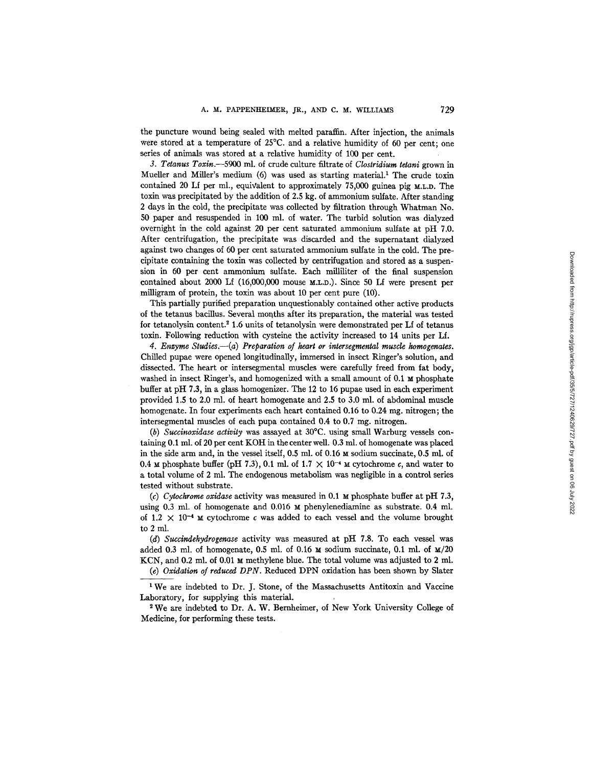the puncture wound being sealed with melted paraffin. After injection, the animals were stored at a temperature of 25°C. and a relative humidity of 60 per cent; one series of animals was stored at a relative humidity of 100 per cent.

*3. Tetanus Toxin.--5900* ml. of crude culture filtrate of *Clostridium tetani* grown in Mueller and Miller's medium (6) was used as starting material.<sup>1</sup> The crude toxin contained 20 Lf per ml., equivalent to approximately 75,000 guinea pig M.L.D. The toxin was precipitated by the addition of 2.5 kg. of ammonium sulfate. After standing 2 days in the cold, the precipitate was collected by filtration through Whatman No. 50 paper and resuspended in 100 ml. of water. The turbid solution was dialyzed overnight in the cold against 20 per cent saturated ammonium sulfate at pH 7.0. After centrifugation, the precipitate was discarded and the supernatant dialyzed against two changes of 60 per cent saturated ammonium sulfate in the cold. The precipitate containing the toxin was collected by centrifugation and stored as a suspension in 60 per cent ammonium sulfate. Each milliliter of the final suspension contained about 2000 Lf (16,000,000 mouse M.L.D.). Since 50 Lf were present per milligram of protein, the toxin was about 10 per cent pure (10).

This partially purified preparation unquestionably contained other active products of the tetanus bacillus. Several months after its preparation, the material was tested for tetanolysin content.<sup>2</sup> 1.6 units of tetanolysin were demonstrated per Lf of tetanus toxin. Following reduction with cysteine the activity increased to 14 units per Lf.

*4. Enzyme Studies.--(a) Preparation of heart or intersegmenlal muscle homogenates.*  Chilled pupae were opened longitudinally, immersed in insect Ringer's solution, and dissected. The heart or intersegmental muscles were carefully freed from fat body, washed in insect Ringer's, and homogenized with a small amount of  $0.1 \text{ m}$  phosphate buffer at pH 7.3, in a glass homogenizer. The 12 to 16 pupae used in each experiment provided 1.5 to 2.0 ml. of heart homogenate and 2.5 to 3.0 ml. of abdominal muscle homogenate. In four experiments each heart contained 0.16 to 0.24 mg. nitrogen; the intersegmental muscles of each pupa contained  $0.4$  to  $0.7$  mg. nitrogen.

*(b) Succinoxidase activity* was assayed at 30°C. using small Warburg vessels containing 0.1 ml. of 20 per cent KOH in the center well. 0.3 ml. of homogenate was placed in the side arm and, in the vessel itself, 0.5 ml. of 0.16 M sodium succinate, 0.5 ml. of 0.4  $\mu$  phosphate buffer (pH 7.3), 0.1 ml. of 1.7  $\times$  10<sup>-4</sup>  $\mu$  cytochrome c, and water to a total volume of 2 ml. The endogenous metabolism was negligible in a control series tested without substrate.

*(c) Cytochrome oxidase* activity was measured in 0.1  $\mu$  phosphate buffer at pH 7.3, using 0.3 ml. of homogenate and  $0.016$   $\text{M}$  phenylenediamine as substrate. 0.4 ml. of 1.2  $\times$  10<sup>-4</sup>  $\times$  cytochrome c was added to each vessel and the volume brought to 2 ml.

*(d) Succindehydrogenase* activity was measured at pH 7.8. To each vessel was added 0.3 ml. of homogenate, 0.5 ml. of 0.16  $\times$  sodium succinate, 0.1 ml. of  $\frac{M}{20}$ KCN, and 0.2 ml. of 0.01  $\mu$  methylene blue. The total volume was adjusted to 2 ml. *(e) Oxidation of reduced DPN.* Reduced DPN oxidation has been shown by Slater

<sup>1</sup>We are indebted to Dr. J. Stone, of the Massachusetts Antitoxin and Vaccine

Laboratory, for supplying this material.

We are indebted to Dr. A. W. Bemheimer, of New York University College of Medicine, for performing these tests.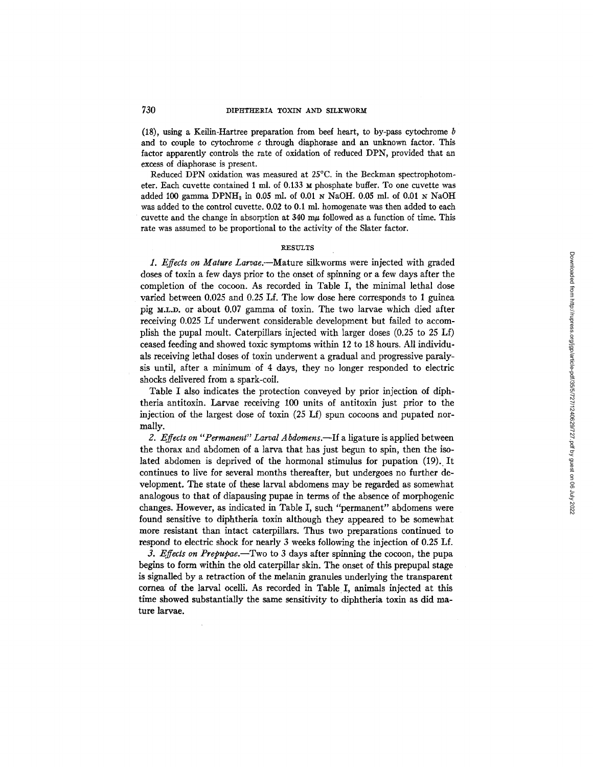(18), using a Keilin-Hartree preparation from beef heart, to by-pass cytochrome  $b$ and to couple to cytochrome  $c$  through diaphorase and an unknown factor. This factor apparently controls the rate of oxidation of reduced DPN, provided that an excess of diaphorase is present.

Reduced DPN oxidation was measured at 25°C. in the Beckman spectrophotometer. Each cuvette contained 1 ml. of 0.133 M phosphate buffer. To one cuvette was added 100 gamma  $DPNH<sub>2</sub>$  in 0.05 ml. of 0.01 N NaOH. 0.05 ml. of 0.01 N NaOH was added to the control cuvette. 0.02 to 0.1 ml. homogenate was then added to each cuvette and the change in absorption at  $340 \text{ m}\mu$  followed as a function of time. This rate was assumed to be proportional to the activity of the Slater factor.

#### **RESULTS**

*1. Effects on Mature Larvae.--Mature* silkworms were injected with graded doses of toxin a few days prior to the onset of spinning or a few days after the completion of the cocoon. As recorded in Table I, the minimal lethal dose varied between 0.025 and 0.25 Lf. The low dose here corresponds to 1 guinea pig M.L.D. or about 0.07 gamma of toxin. The two larvae which died after receiving 0.025 Lf underwent considerable development but failed to accomplish the pupal moult. Caterpillars injected with larger doses (0.25 to 25 Lf) ceased feeding and showed toxic symptoms within 12 to 18 hours. All individuals receiving lethal doses of toxin underwent a gradual and progressive paralysis until, after a minimum of 4 days, they no longer responded to electric shocks delivered from a spark-coil.

Table I also indicates the protection conveyed by prior injection of diphtheria antitoxin. Larvae receiving 100 units of antitoxin just prior to the injection of the largest dose of toxin (25 Lf) spun cocoons and pupated normally.

2. Effects on "Permanent" Larval Abdomens.--If a ligature is applied between the thorax and abdomen of a larva that has just begun to spin, then the isolated abdomen is deprived of the hormonal stimulus for pupation (19). It continues to live for several months thereafter, but undergoes no further development. The state of these larval abdomens may be regarded as somewhat analogous to that of diapausing pupae in terms of the absence of morphogenic changes. However, as indicated in Table I, such "permanent" abdomens were found sensitive to diphtheria toxin although they appeared to be somewhat more resistant than intact caterpillars. Thus two preparations continued to respond to electric shock for nearly 3 weeks following the injection of 0.25 Lf.

*3. Effects on Prepupae.--Two* to 3 days after spinning the cocoon, the pupa begins to form within the old caterpillar skin. The onset of this prepupal stage is signalled by a retraction of the melanin granules underlying the transparent cornea of the larval ocelli. As recorded in Table I, animals injected at this time showed substantially the same sensitivity to diphtheria toxin as did mature larvae.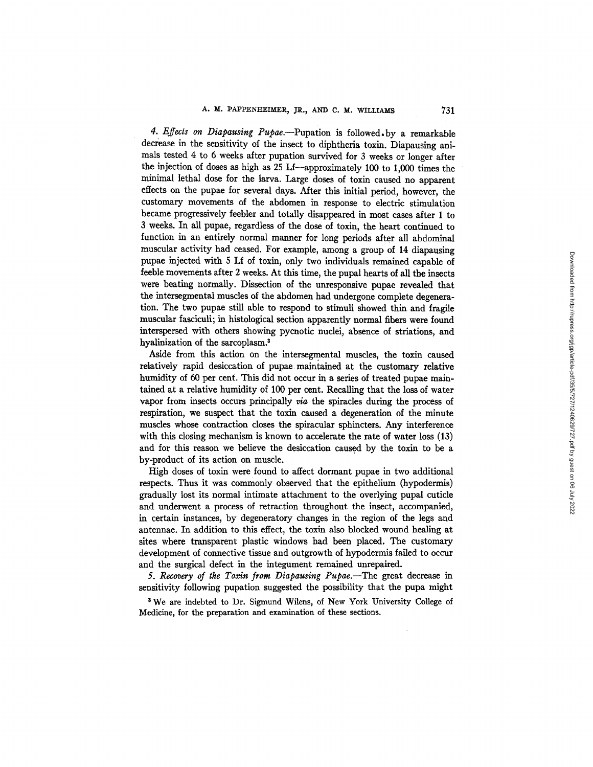*4. Effects on Diapausing Pupae.--Pupation* is followed.by a remarkable decrease in the sensitivity of the insect to diphtheria toxin. Diapausing animals tested 4 to 6 weeks after pupation survived for 3 weeks or longer after the injection of doses as high as 25 Lf--approximately 100 to 1,000 times the minimal lethal dose for the larva. Large doses of toxin caused no apparent effects on the pupae for several days. After this initial period, however, the customary movements of the abdomen in response to electric stimulation became progressively feebler and totally disappeared in most cases after 1 to 3 weeks. In all pupae, regardless of the dose of toxin, the heart continued to function in an entirely normal manner for long periods after all abdominal muscular activity had ceased. For example, among a group of 14 diapausing pupae injected with 5 Lf of toxin, only two individuals remained capable of feeble movements after 2 weeks. At this time, the pupal hearts of all the insects were beating normally. Dissection of the unresponsive pupae revealed that the intersegmental muscles of the abdomen had undergone complete degeneration. The two pupae still able to respond to stimuli showed thin and fragile muscular fasciculi; in histological section apparently normal fibers were found interspersed with others showing pycuotic nuclei, absence of striations, and hyalinization of the sarcoplasm.<sup>3</sup>

Aside from this action on the intersegmental muscles, the toxin caused relatively rapid desiccation of pupae maintained at the customary relative humidity of 60 per cent. This did not occur in a series of treated pupae maintained at a relative humidity of 100 per cent. Recalling that the loss of water vapor from insects occurs principally *via* the spiracles during the process of respiration, we suspect that the toxin caused a degeneration of the minute muscles whose contraction closes the spiracular sphincters. Any interference with this closing mechanism is known to accelerate the rate of water loss (13) and for this reason we believe the desiccation caused by the toxin to be a by-product of its action on muscle.

High doses of toxin were found to affect dormant pupae in two additional respects. Thus it was commonly observed that the epithelium (hypodermis) gradually lost its normal intimate attachment to the overlying pupal cuticle and underwent a process of retraction throughout the insect, accompanied, in certain instances, by degeneratory changes in the region of the legs and antennae. In addition to this effect, the toxin also blocked wound healing at sites where transparent plastic windows had been placed. The customary development of connective tissue and outgrowth of hypodermis failed to occur and the surgical defect in the integument remained unrepaired.

*5. Recovery of the Toxin from Diapausing Pupae.--The* great decrease in sensitivity following pupation suggested the possibility that the pupa might

\* We are indebted to Dr. Sigmund Wilens, of New York University College of Medicine, for the preparation and examination of these sections.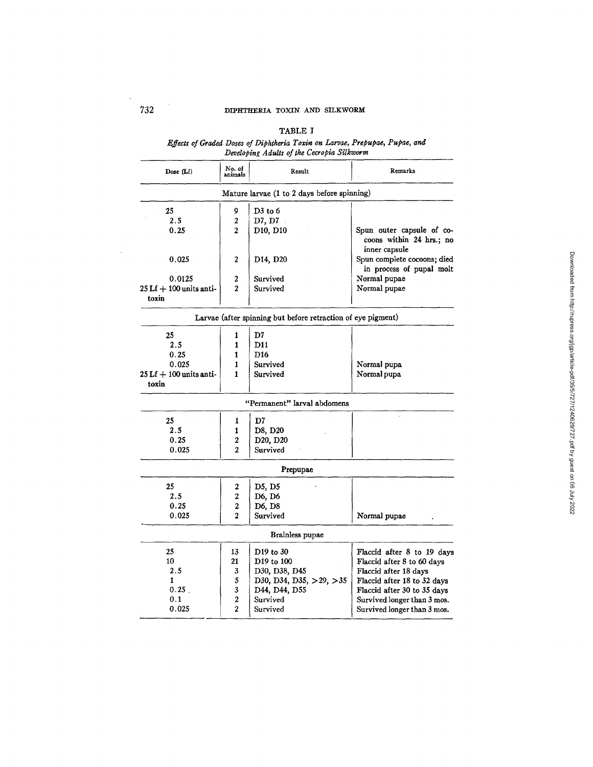## TABLE I

*Effects of Graded Doses of Diphtheria Toxin on Larva¢, Prepupae, Pupae, and Developing Adults of the Cecropia Silkworm* 

| Dose (Lf)                                           | No. of<br>Remarks<br>Result<br>animals |                                                              |                                                                        |  |
|-----------------------------------------------------|----------------------------------------|--------------------------------------------------------------|------------------------------------------------------------------------|--|
|                                                     |                                        | Mature larvae (1 to 2 days before spinning)                  |                                                                        |  |
| 25                                                  | 9<br>$D3$ to 6                         |                                                              |                                                                        |  |
| 2.5<br>$\overline{a}$<br>0.25<br>$\overline{2}$     |                                        | D7, D7                                                       |                                                                        |  |
|                                                     |                                        | D10, D10                                                     | Spun outer capsule of co-<br>coons within 24 hrs.; no<br>inner capsule |  |
| 0.025                                               | 2                                      | D <sub>14</sub> , D <sub>20</sub>                            | Spun complete cocoons; died<br>in process of pupal molt                |  |
| 0.0125                                              | 2                                      | Survived                                                     | Normal pupae                                                           |  |
| $25 Lf + 100$ units anti-<br>toxin                  | $\overline{2}$                         | Survived                                                     | Normal pupae                                                           |  |
|                                                     |                                        | Larvae (after spinning but before retraction of eye pigment) |                                                                        |  |
| 25                                                  | 1                                      | D7                                                           |                                                                        |  |
| 2.5                                                 | 1                                      | D <sub>11</sub>                                              |                                                                        |  |
| 0.25                                                | 1                                      | D <sub>16</sub>                                              |                                                                        |  |
| 0.025                                               | 1                                      | Survived                                                     | Normal pupa                                                            |  |
| $25 Lf + 100$ units anti-<br>Survived<br>1<br>toxin |                                        | Normal pupa                                                  |                                                                        |  |
|                                                     |                                        | "Permanent" larval abdomens                                  |                                                                        |  |
| 25                                                  | 1                                      | D7                                                           |                                                                        |  |
| 2.5<br>D8, D20<br>1                                 |                                        |                                                              |                                                                        |  |
| 0.25                                                |                                        | D20, D20                                                     |                                                                        |  |
| $\overline{2}$<br>0.025                             |                                        | Survived                                                     |                                                                        |  |
|                                                     |                                        | Prepupae                                                     |                                                                        |  |
| 25                                                  | 2                                      | D5, D5                                                       |                                                                        |  |
| 2.5<br>2                                            |                                        | D6, D6                                                       |                                                                        |  |
| 0.25<br>$\overline{2}$                              |                                        | D6, D8                                                       |                                                                        |  |
| 0.025                                               | $\overline{2}$                         | Survived                                                     | Normal pupae                                                           |  |
|                                                     |                                        | Brainless pupae                                              |                                                                        |  |
| 25                                                  | 13                                     | D <sub>19</sub> to 30                                        | Flaccid after 8 to 19 days                                             |  |
| 10                                                  | 21                                     | D <sub>19</sub> to 100                                       | Flaccid after 8 to 60 days                                             |  |
| 2.5                                                 | 3                                      | D30, D38, D45                                                | Flaccid after 18 days                                                  |  |
| 1                                                   | 5                                      | D30, D34, D35, >29, >35                                      | Flaccid after 18 to 32 days                                            |  |
| 0.25                                                | 3                                      | D44, D44, D55                                                | Flaccid after 30 to 35 days                                            |  |
| 0.1                                                 | 2                                      | Survived                                                     | Survived longer than 3 mos.                                            |  |
| 0.025                                               | $\overline{2}$                         | Survived                                                     | Survived longer than 3 mos.                                            |  |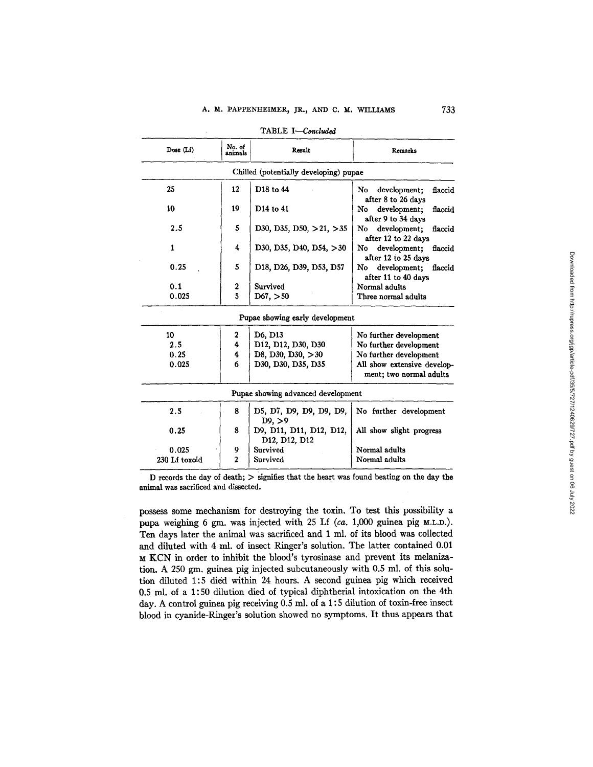| Dose (Lf)     | No. of<br>animals | Result                                                                | <b>Remarks</b>                                         |  |  |
|---------------|-------------------|-----------------------------------------------------------------------|--------------------------------------------------------|--|--|
|               |                   | Chilled (potentially developing) pupae                                |                                                        |  |  |
| 25            | 12                | D <sub>18</sub> to 44                                                 | development;<br>No<br>flaccid<br>after 8 to 26 days    |  |  |
| 10            | 19                | D <sub>14</sub> to 41                                                 | No<br>development;<br>flaccid<br>after 9 to 34 days    |  |  |
| 2.5           | 5                 | D30, D35, D50, $>21$ , $>35$                                          | development;<br>No<br>flaccid<br>after 12 to 22 days   |  |  |
| 1             | 4                 | D30, D35, D40, D54, $>30$                                             | development:<br>flaccid<br>No<br>after 12 to 25 days   |  |  |
| 0.25          | 5                 | D18, D26, D39, D53, D57                                               | development;<br>No<br>flaccid<br>after 11 to 40 days   |  |  |
| 0.1           | 2                 | Survived                                                              | Normal adults                                          |  |  |
| 0.025         | 5                 | D67, >50                                                              | Three normal adults                                    |  |  |
|               |                   | Pupae showing early development                                       |                                                        |  |  |
| 10            | 2                 | D6, D13                                                               | No further development                                 |  |  |
| 2.5           | 4                 | D <sub>12</sub> , D <sub>12</sub> , D <sub>30</sub> , D <sub>30</sub> | No further development                                 |  |  |
| 0.25          | 4                 | D8, D30, D30, $>30$                                                   | No further development                                 |  |  |
| 0.025         | 6                 | D30, D30, D35, D35                                                    | All show extensive develop-<br>ment; two normal adults |  |  |
|               |                   | Pupae showing advanced development                                    |                                                        |  |  |
| 2.5           | 8                 | D5, D7, D9, D9, D9, D9,<br>D9. > 9                                    | No further development                                 |  |  |
| 0.25          | 8                 | D9, D11, D11, D12, D12,<br>D12, D12, D12                              | All show slight progress                               |  |  |
| 0.025         | 9                 | Survived                                                              | Normal adults                                          |  |  |
| 230 Lf toxoid | $\overline{2}$    | Survived                                                              | Normal adults                                          |  |  |

TABLE I-Concluded

l,

D records the day of death; )> signifies that the heart was found beating on the day **the**  animal was sacrificed and dissected.

possess some mechanism for destroying the toxin, To test this possibility a pupa weighing 6 gm. was injected with 25 Lf (ca. 1,000 guinea pig M.L.D.). Ten days later the animal was sacrificed and 1 ml. of its blood was collected and diluted with 4 ml. of insect Ringer's solution, The latter contained 0.01 KCN in order to inhibit the blood's tyrosinase and prevent its melanization. A 250 gm. guinea pig injected subcutaneously with 0.5 ml. of this solution diluted 1:5 died within 24 hours. A second guinea pig which received 0.5 ml. of a 1:50 dilution died of typical diphtherial intoxication on the 4th day. A control guinea pig receiving 0.5 ml. of a 1:5 dilution of toxin-free insect blood in cyanide-Ringer's solution showed no symptoms. It thus appears that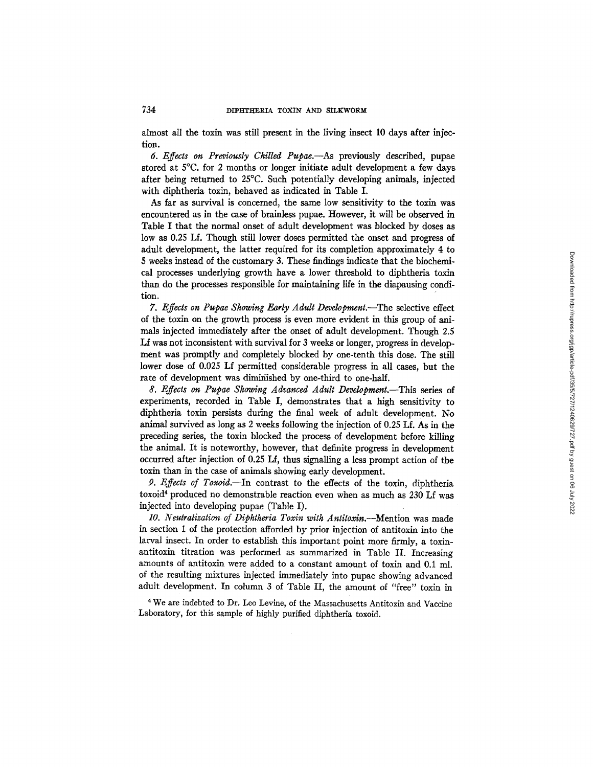almost all the toxin was still present in the living insect 10 days after injection.

*6. Effects on Previously Chilled Pupae.--As* previously described, pupae stored at 5°C. for 2 months or longer initiate adult development a few days after being returned to 25°C. Such potentially developing animals, injected with diphtheria toxin, behaved as indicated in Table I.

As far as survival is concerned, the same low sensitivity to the toxin was encountered as in the case of brainless pupae. However, it will be observed in Table I that the normal onset of adult development was blocked by doses as low as 0.25 If. Though still lower doses permitted the onset and progress of adult development, the latter required for its completion approximately 4 to 5 weeks instead of the customary 3. These findings indicate that the biochemical processes underlying growth have a lower threshold to diphtheria toxin than do the processes responsible for maintaining life in the diapansing condition.

*7. Effects on Pupae Showing Early Adult Developrnent.--The* selective effect of the toxin on the growth process is even more evident in this group of animals injected immediately after the onset of adult development. Though 2.5 Lf was not inconsistent with survival for 3 weeks or longer, progress in development was promptly and completely blocked by one-tenth this dose. The still lower dose of 0.025 Lf permitted considerable progress in all cases, but the rate of development was dimiriished by one-third to one-half.

*8. Effects on Pupae Showing Advanced Adult Development.--This* series of experiments, recorded in Table I, demonstrates that a high sensitivity to diphtheria toxin persists during the final week of adult development. No animal survived as long as 2 weeks following the injection of 0.25 Lf. As in the preceding series, the toxin blocked the process of development before killing the animal. It is noteworthy, however, that definite progress in development occurred after injection of 0,25 Lf, thus signalling a less prompt action of the toxin than in the case of animals showing early development.

*P. Effects of Toxoid.--In* contrast to the effects of the toxin, diphtheria toxoid<sup>4</sup> produced no demonstrable reaction even when as much as 230 Lf was injected into developing pupae (Table I).

*10. Neutralization of Diphtheria Toxin with A ntitoxin.--Mention* was made in section 1 of the protection afforded by prior injection of antitoxin into the larval insect. In order to establish this important point more firmly, a toxinantitoxin titration was performed as summarized in Table II. Increasing amounts of antitoxin were added to a constant amount of toxin and 0.1 ml. of the resulting mixtures injected immediately into pupae showing advanced adult development. In column 3 of Table II, the amount of "free" toxin in

<sup>4</sup> We are indebted to Dr. Leo Levine, of the Massachusetts Antitoxin and Vaccine Laboratory, for this sample of highly purified diphtheria toxoid.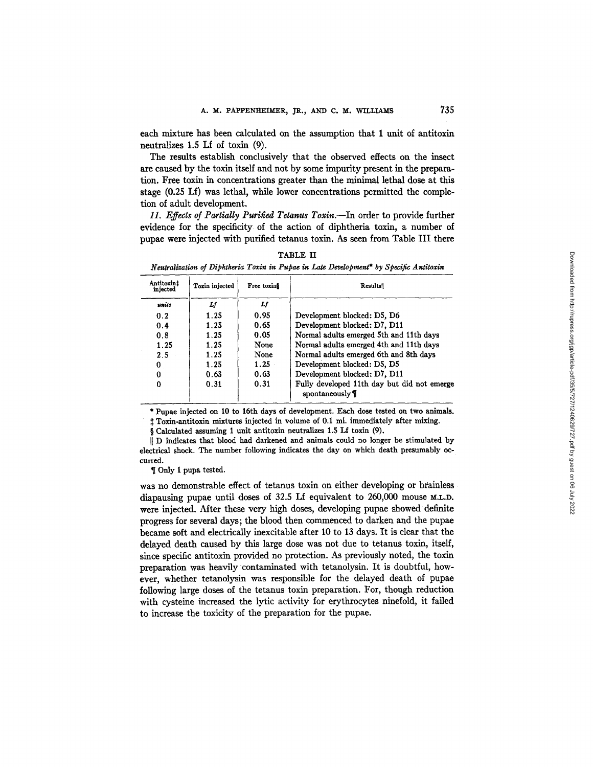each mixture has been calculated on the assumption that 1 unit of antitoxin neutralizes 1.5 Lf of toxin (9).

The results establish conclusively that the observed effects on the insect are caused by the toxin itself and not by some impurity present in the preparation. Free toxin in concentrations greater than the minimal lethal dose at this stage (0.25 If) was lethal, while lower concentrations permitted the completion of adult development.

11. Effects of Partially Purified Tetanus Toxin.--In order to provide further evidence for the specificity of the action of diphtheria toxin, a number of pupae were injected with purified tetanus toxin. As seen from Table III there

TABLE II *Neutralization of Diphtheria Toxin in Pupae in Late Deoelopment\* by Specific Antitoxin* 

| Antitoxint<br>injected | Toxin injected | Free toxing | Results                                                        |
|------------------------|----------------|-------------|----------------------------------------------------------------|
| units                  | Lſ             | Lf          |                                                                |
| 0.2                    | 1.25           | 0.95        | Development blocked: D5, D6                                    |
| 0.4                    | 1.25           | 0.65        | Development blocked: D7, D11                                   |
| 0.8                    | 1.25           | 0.05        | Normal adults emerged 5th and 11th days                        |
| 1.25                   | 1.25           | None        | Normal adults emerged 4th and 11th days                        |
| 2.5                    | 1.25           | None        | Normal adults emerged 6th and 8th days                         |
| 0                      | 1.25           | $1.25 -$    | Development blocked: D5, D5                                    |
| 0                      | 0.63           | 0.63        | Development blocked: D7, D11                                   |
|                        | 0.31           | 0.31        | Fully developed 11th day but did not emerge<br>spontaneously ¶ |

\* Pupae injected on 10 to 16th days of development. Each dose tested on two animals.

:~ Toxin.antitoxin mixtures injected in volume of 0.1 ml. immediately after mixing.

§ Calculated assuming 1 unit antitoxin neutralizes 1.5 Lf toxin (9).

II D indicates that blood had darkened and animals could no longer be stimulated by electrical shock. The number following indicates the day on which death presumably occurred.

¶ Only 1 pupa tested.

was no demonstrable effect of tetanus toxin on either developing or brainless diapausing pupae until doses of  $32.5$  Lf equivalent to  $260,000$  mouse M.L.D. were injected. After these very high doses, developing pupae showed definite progress for several days; the blood then commenced to darken and the pupae became soft and electrically inexcitable after 10 to 13 days. It is clear that the delayed death caused by this large dose was not due to tetanus toxin, itself, since specific antitoxin provided no protection. As previously noted, the toxin preparation was heavily "contaminated with tetanolysin. It is doubtful, however, whether tetanolysin was responsible for the delayed death of pupae following large doses of the tetanus toxin preparation. For, though reduction with cysteine increased the lyric activity for erythrocytes ninefold, it failed to increase the toxicity of the preparation for the pupae.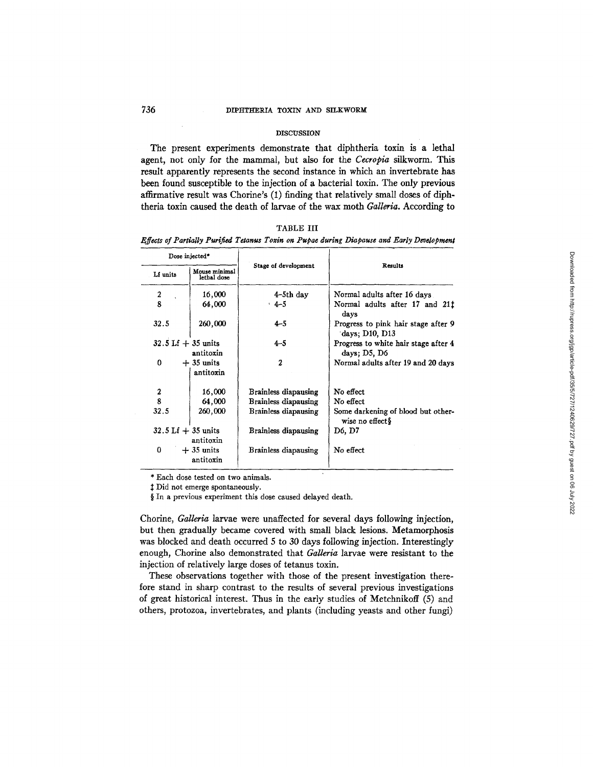## 736 DIPHTHERIA TOXIN AND SILKWORM

#### DISCUSSION

The present experiments demonstrate that diphtheria toxin is a lethal agent, not only for the mammal, but also for the *Cecropia* silkworm. This result apparently represents the second instance in which an invertebrate has been found susceptible to the injection of a bacterial toxin. The only previous affirmative result was Chorine's (1) finding that relatively small doses of diphtheria toxin caused the death of larvae of the wax moth *Galleria.* According to

*Effects of Partially Purified Tetanus Toxin on Pupae during Diapause and Early Development* 

| Dose injected*                       |                              |                      |                                                        |  |
|--------------------------------------|------------------------------|----------------------|--------------------------------------------------------|--|
| Lf units                             | Mouse minimal<br>lethal dose | Stage of development | Results                                                |  |
| $\boldsymbol{2}$                     | 16.000                       | 4-5th day            | Normal adults after 16 days                            |  |
| 8                                    | 64,000                       | $4 - 5$              | Normal adults after 17 and 21 <sup>†</sup><br>days     |  |
| 32.5                                 | 260,000                      | $4 - 5$              | Progress to pink hair stage after 9<br>days; D10, D13  |  |
| 32.5 Lf $+$ 35 units                 | antitoxin                    | $4 - 5$              | Progress to white hair stage after 4<br>days: D5, D6   |  |
| 0                                    | $+35$ units<br>antitoxin     | 2                    | Normal adults after 19 and 20 days                     |  |
| 2                                    | 16,000                       | Brainless diapausing | No effect                                              |  |
| 8                                    | 64,000                       | Brainless diapausing | No effect                                              |  |
| 32.5                                 | 260,000                      | Brainless diapausing | Some darkening of blood but other-<br>wise no effect\$ |  |
| $32.5 \text{ Lf} + 35 \text{ units}$ | antitoxin                    | Brainless diapausing | D6, D7                                                 |  |
| 0                                    | $+35$ units<br>antitoxin     | Brainless diapausing | No effect                                              |  |

\* Each dose tested on two animals.

 $‡$  Did not emerge spontaneously.

§ In a previous experiment this dose caused delayed death.

Chorine, *Galleria* larvae were unaffected for several days following injection, but then gradually became covered with small black lesions. Metamorphosis was blocked and death occurred 5 to 30 days following injection. Interestingly enough, Chorine also demonstrated that *Galleria* larvae were resistant to the injection of relatively large doses of tetanus toxin.

These observations together with those of the present investigation therefore stand in sharp contrast to the results of several previous investigations of great historical interest. Thus in the early studies of Metchnikoff (5) and others, protozoa, invertebrates, and plants (including yeasts and other fungi)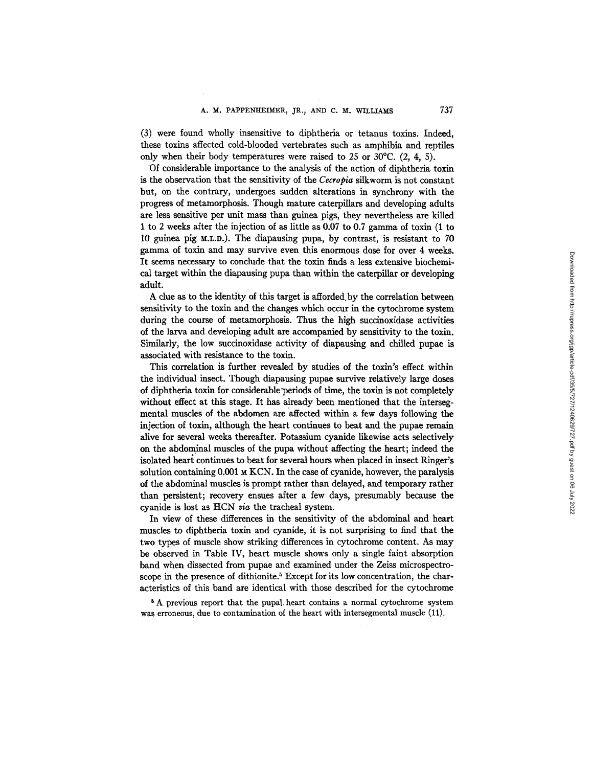(3) were found wholly insensitive to diphtheria or tetanus toxins. Indeed, these toxins affected cold-blooded vertebrates such as amphibia and reptiles only when their body temperatures were raised to 25 or 30°C. (2, 4, 5).

Of considerable importance to the analysis of the action of diphtheria toxin is the observation that the sensitivity of the *Cecropia* silkworm is not constant but, on the contrary, undergoes sudden alterations in synchrony with the progress of metamorphosis. Though mature caterpillars and developing adults are less sensitive per unit mass than guinea pigs, they nevertheless are killed 1 to 2 weeks after the injection of as little as 0.07 to 0.7 gamma of toxin (1 to 10 guinea pig M.L.D.). The diapausing pupa, by contrast, is resistant to 70 gamma of toxin and may survive even this enormous dose for over 4 weeks. It seems necessary to conclude that the toxin finds a less extensive biochemical target within the diapansing pupa than within the caterpillar or developing adult.

A clue as to the identity of this target is afforded.by the correlation between sensitivity to the toxin and the changes which occur in the cytochrome system during the course of metamorphosis. Thus the high succinoxidase activities of the larva and developing adult are accompanied by sensitivity to the toxin. Similarly, the low succinoxidase activity of diapansing and chilled pupae is associated with resistance to the toxin.

This correlation is further revealed by studies of the toxin's effect within the individual insect. Though diapansing pupae survive relatively large doses of diphtheria toxin for considerable'periods of time, the toxin is not completely without effect at this stage. It has already been mentioned that the intersegmental muscles of the abdomen are affected within a few days following the injection of toxin, although the heart continues to beat and the pupae remain alive for several weeks thereafter. Potassium cyanide likewise acts selectively on the abdominal muscles of the pupa without affecting the heart; indeed the isolated heart continues to beat for several hours when placed in insect Ringer's solution containing  $0.001 \times \text{KCN}$ . In the case of cyanide, however, the paralysis of the abdominal muscles is prompt rather than delayed, and temporary rather than persistent; recovery ensues after a few days, presumably because the cyanide is lost as HCN via the tracheal system.

In view of these differences in the sensitivity of the abdominal and heart muscles to diphtheria toxin and cyanide, it is not surprising to find that the two types of muscle show striking differences in cytochrome content. As may be observed in Table IV, heart muscle shows only a single faint absorption band when dissected from pupae and examined under the Zeiss microspectroscope in the presence of dithionite.<sup>5</sup> Except for its low concentration, the characteristics of this band are identical with those described for the cytochrome

<sup>5</sup> A previous report that the pupal heart contains a normal cytochrome system was erroneous, due to contamination of the heart with intersegmental muscle (11).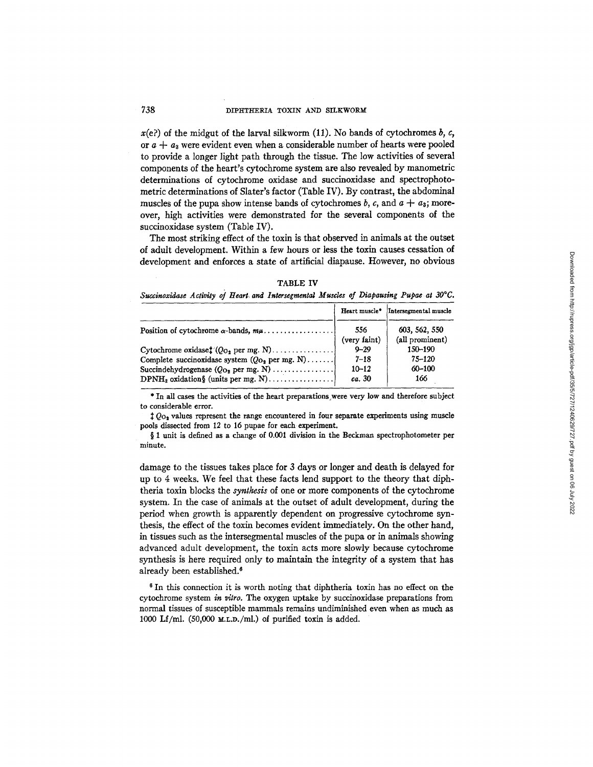$x(e)$  of the midgut of the larval silkworm (11). No bands of cytochromes  $b, c,$ or  $a + a_3$  were evident even when a considerable number of hearts were pooled to provide a longer light path through the tissue. The low activities of several components of the heart's cytochrome system are also revealed by manometric determinations of cytochrome oxidase and succinoxidase and spectrophotometric determinations of Slater's factor (Table IV). By contrast, the abdominal muscles of the pupa show intense bands of cytochromes  $b$ ,  $c$ , and  $a + a_3$ ; moreover, high activities were demonstrated for the several components of the succinoxidase system (Table IV).

The most striking effect of the toxin is that observed in animals at the outset of adult development. Within a few hours or less the toxin causes cessation of development and enforces a state of artificial diapause. However, no obvious

| <b>TABLE</b> |  |
|--------------|--|
|              |  |

Succinoxidase Activity of Heart and Intersegmental Muscles of Diapausing Pupae at 30°C.

|                                                                                           | Heart muscle*                               | Intersegmental muscle                      |
|-------------------------------------------------------------------------------------------|---------------------------------------------|--------------------------------------------|
| Position of cytochrome $\alpha$ -bands, $m\mu$                                            | 556<br>(very faint)                         | 603, 562, 550<br>(all prominent)           |
| Complete succinoxidase system $(Qo2$ per mg. N)<br>Succindehydrogenase $(Qo_2$ per mg. N) | $9 - 29$<br>$7 - 18$<br>$10 - 12$<br>ca. 30 | 150-190<br>$75 - 120$<br>$60 - 100$<br>166 |

\* In all cases the activities of the heart preparations~were very low and therefore subject to considerable error.

 $\downarrow Q_{\text{O}_2}$  values represent the range encountered in four separate experiments using muscle pools dissected from 12 to 16 pupae for each experiment.

§ 1 unit is defined as a change of 0.001 division in the Beckman spectrophotometer per minute.

damage to the tissues takes place for 3 days or longer and death is delayed for up to 4 weeks. We feel that these facts lend support to the theory that diphtheria toxin blocks the *synthesis* of one or more components of the cytochrome system. In the case of animals at the outset of adult development, during the period when growth is apparently dependent on progressive cytochrome synthesis, the effect of the toxin becomes evident immediately. On the other hand, in tissues such as the intersegmental muscles of the pupa or in animals showing advanced adult development, the toxin acts more slowly because cytochrome synthesis is here required only to maintain the integrity of a system that has already been established:

6 In this connection it is worth noting that diphtheria toxin has no effect on the cytochrome system in *vitro.* The oxygen uptake by succinoxidase preparations from normal tissues of susceptible mammals remains undiminished even when as much as 1000 Lf/ml. (50,000 M.L.D./ml.) of purified toxin is added.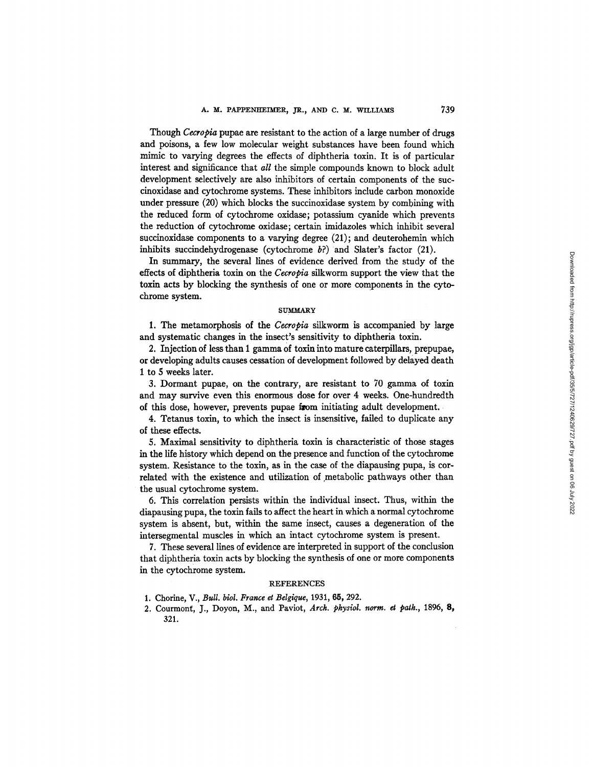Though *Cecropia* pupae are resistant to the action of a large number of drugs and poisons, a few low molecular weight substances have been found which mimic to varying degrees the effects of diphtheria toxin. It is of particular interest and significance that *all* the simple compounds known to block adult development selectively are also inhibitors of certain components of the suecinoxidase and cytochrome systems. These inhibitors include carbon monoxide under pressure (20) which blocks the succinoxidase system by combining with the reduced form of cytochrome oxidase; potassium cyanide which prevents the reduction of cytochrome oxidase; certain imidazoles which inhibit several succinoxidase components to a varying degree (21); and deuterohemin which inhibits succindehydrogenase (cytochrome  $b$ ?) and Slater's factor (21).

In summary, the several lines of evidence derived from the study of the effects of diphtheria toxin on the *Cecropia* silkworm support the view that the toxin acts by blocking the synthesis of one or more components in the cytochrome system.

#### **SUMMARY**

1. The metamorphosis of the *Cecropia* silkworm is accompanied by large and systematic changes in the insect's sensitivity to diphtheria toxin.

2. Injection of less than 1 gamma of toxin into mature caterpillars, prepupae, or developing adults causes cessation of development followed by delayed death 1 to 5 weeks later.

3. Dormant pupae, on the contrary, are resistant to 70 gamma of toxin and may survive even this enormous dose for over 4 weeks. One-hundredth of this dose, however, prevents pupae from initiating adult development.

4. Tetanus toxin, to which the insect is insensitive, failed to duplicate any of these effects.

5. Maximal sensitivity to diphtheria toxin is characteristic of those stages in the life history which depend on the presence and function of the cytochrome system. Resistance to the toxin, as in the case of the diapausing pupa, is correlated with the existence and utilization of metabolic pathways other than the usual cytochrome system.

6. This correlation persists within the individual insect. Thus, within the diapausing pupa, the toxin fails to affect the heart in which a normal cytochrome system is absent, but, within the same insect, causes a degeneration of the intersegmental muscles in which an intact cytochrome system is present.

7. These several lines of evidence are interpreted in support of the conclusion that diphtheria toxin acts by blocking the synthesis of one or more components in the cytochrome system.

### REFERENCES

- 1. Chorine, V., *Bull. biol. France et Belgique,* 1931, 65, 292.
- 2. Courmont, J., Doyon, M., and Paviot, Arch. *physiol. norm. et path.*, 1896, 8, 321.